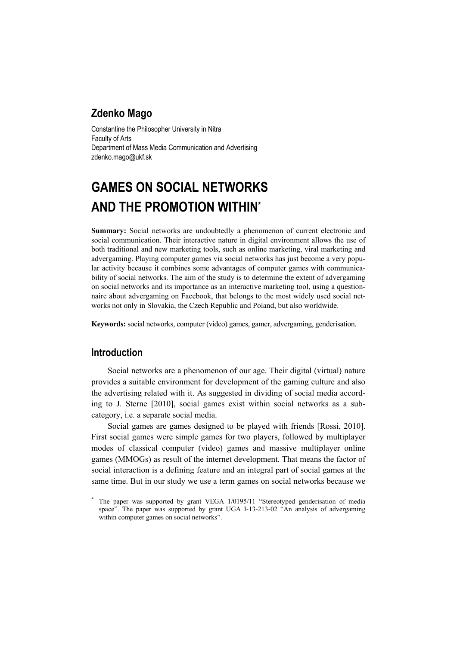# **Zdenko Mago**

Constantine the Philosopher University in Nitra Faculty of Arts Department of Mass Media Communication and Advertising zdenko.mago@ukf.sk

# **GAMES ON SOCIAL NETWORKS AND THE PROMOTION WITHIN\***

**Summary:** Social networks are undoubtedly a phenomenon of current electronic and social communication. Their interactive nature in digital environment allows the use of both traditional and new marketing tools, such as online marketing, viral marketing and advergaming. Playing computer games via social networks has just become a very popular activity because it combines some advantages of computer games with communicability of social networks. The aim of the study is to determine the extent of advergaming on social networks and its importance as an interactive marketing tool, using a questionnaire about advergaming on Facebook, that belongs to the most widely used social networks not only in Slovakia, the Czech Republic and Poland, but also worldwide.

**Keywords:** social networks, computer (video) games, gamer, advergaming, genderisation.

# **Introduction**

 $\overline{a}$ 

Social networks are a phenomenon of our age. Their digital (virtual) nature provides a suitable environment for development of the gaming culture and also the advertising related with it. As suggested in dividing of social media according to J. Sterne [2010], social games exist within social networks as a subcategory, i.e. a separate social media.

Social games are games designed to be played with friends [Rossi, 2010]. First social games were simple games for two players, followed by multiplayer modes of classical computer (video) games and massive multiplayer online games (MMOGs) as result of the internet development. That means the factor of social interaction is a defining feature and an integral part of social games at the same time. But in our study we use a term games on social networks because we

<sup>\*</sup> The paper was supported by grant VEGA 1/0195/11 "Stereotyped genderisation of media space". The paper was supported by grant UGA I-13-213-02 "An analysis of advergaming within computer games on social networks".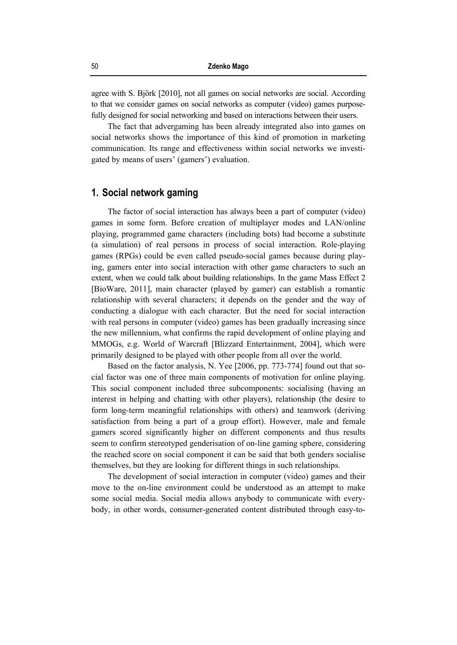agree with S. Björk [2010], not all games on social networks are social. According to that we consider games on social networks as computer (video) games purposefully designed for social networking and based on interactions between their users.

The fact that advergaming has been already integrated also into games on social networks shows the importance of this kind of promotion in marketing communication. Its range and effectiveness within social networks we investigated by means of users' (gamers') evaluation.

## **1. Social network gaming**

The factor of social interaction has always been a part of computer (video) games in some form. Before creation of multiplayer modes and LAN/online playing, programmed game characters (including bots) had become a substitute (a simulation) of real persons in process of social interaction. Role-playing games (RPGs) could be even called pseudo-social games because during playing, gamers enter into social interaction with other game characters to such an extent, when we could talk about building relationships. In the game Mass Effect 2 [BioWare, 2011], main character (played by gamer) can establish a romantic relationship with several characters; it depends on the gender and the way of conducting a dialogue with each character. But the need for social interaction with real persons in computer (video) games has been gradually increasing since the new millennium, what confirms the rapid development of online playing and MMOGs, e.g. World of Warcraft [Blizzard Entertainment, 2004], which were primarily designed to be played with other people from all over the world.

Based on the factor analysis, N. Yee [2006, pp. 773-774] found out that social factor was one of three main components of motivation for online playing. This social component included three subcomponents: socialising (having an interest in helping and chatting with other players), relationship (the desire to form long-term meaningful relationships with others) and teamwork (deriving satisfaction from being a part of a group effort). However, male and female gamers scored significantly higher on different components and thus results seem to confirm stereotyped genderisation of on-line gaming sphere, considering the reached score on social component it can be said that both genders socialise themselves, but they are looking for different things in such relationships.

The development of social interaction in computer (video) games and their move to the on-line environment could be understood as an attempt to make some social media. Social media allows anybody to communicate with everybody, in other words, consumer-generated content distributed through easy-to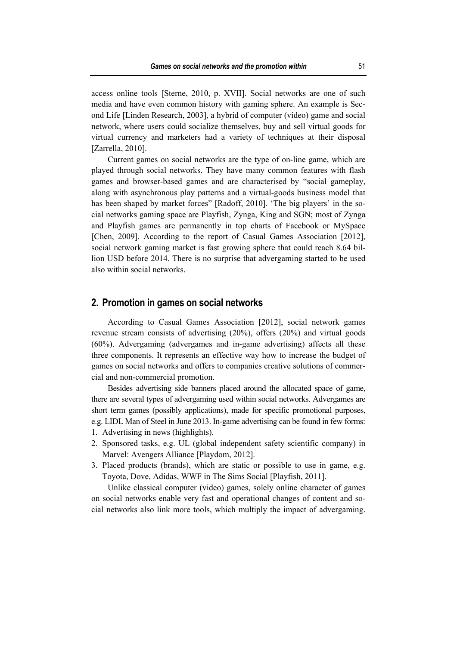access online tools [Sterne, 2010, p. XVII]. Social networks are one of such media and have even common history with gaming sphere. An example is Second Life [Linden Research, 2003], a hybrid of computer (video) game and social network, where users could socialize themselves, buy and sell virtual goods for virtual currency and marketers had a variety of techniques at their disposal [Zarrella, 2010].

Current games on social networks are the type of on-line game, which are played through social networks. They have many common features with flash games and browser-based games and are characterised by "social gameplay, along with asynchronous play patterns and a virtual-goods business model that has been shaped by market forces" [Radoff, 2010]. 'The big players' in the social networks gaming space are Playfish, Zynga, King and SGN; most of Zynga and Playfish games are permanently in top charts of Facebook or MySpace [Chen, 2009]. According to the report of Casual Games Association [2012], social network gaming market is fast growing sphere that could reach 8.64 billion USD before 2014. There is no surprise that advergaming started to be used also within social networks.

#### **2. Promotion in games on social networks**

According to Casual Games Association [2012], social network games revenue stream consists of advertising (20%), offers (20%) and virtual goods (60%). Advergaming (advergames and in-game advertising) affects all these three components. It represents an effective way how to increase the budget of games on social networks and offers to companies creative solutions of commercial and non-commercial promotion.

Besides advertising side banners placed around the allocated space of game, there are several types of advergaming used within social networks. Advergames are short term games (possibly applications), made for specific promotional purposes, e.g. LIDL Man of Steel in June 2013. In-game advertising can be found in few forms:

- 1. Advertising in news (highlights).
- 2. Sponsored tasks, e.g. UL (global independent safety scientific company) in Marvel: Avengers Alliance [Playdom, 2012].
- 3. Placed products (brands), which are static or possible to use in game, e.g. Toyota, Dove, Adidas, WWF in The Sims Social [Playfish, 2011].

Unlike classical computer (video) games, solely online character of games on social networks enable very fast and operational changes of content and social networks also link more tools, which multiply the impact of advergaming.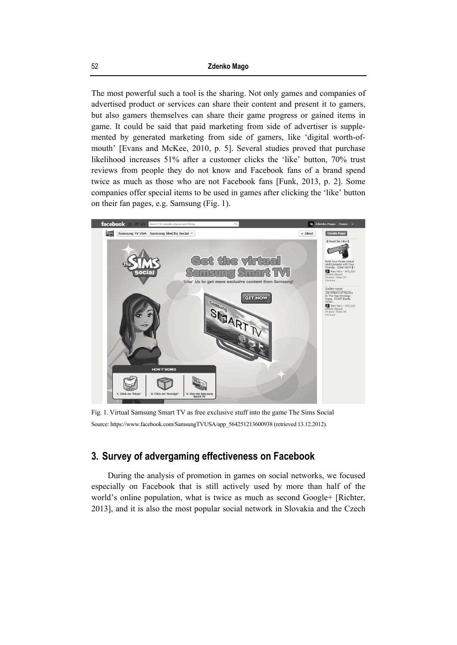The most powerful such a tool is the sharing. Not only games and companies of advertised product or services can share their content and present it to gamers, but also gamers themselves can share their game progress or gained items in game. It could be said that paid marketing from side of advertiser is supplemented by generated marketing from side of gamers, like 'digital worth-ofmouth' [Evans and McKee, 2010, p. 5]. Several studies proved that purchase likelihood increases 51% after a customer clicks the 'like' button, 70% trust reviews from people they do not know and Facebook fans of a brand spend twice as much as those who are not Facebook fans [Funk, 2013, p. 2]. Some companies offer special items to be used in games after clicking the 'like' button on their fan pages, e.g. Samsung (Fig. 1).



Fig. 1. Virtual Samsung Smart TV as free exclusive stuff into the game The Sims Social Source: https://www.facebook.com/SamsungTVUSA/app\_564251213600938 (retrieved 13.12.2012).

# **3. Survey of advergaming effectiveness on Facebook**

During the analysis of promotion in games on social networks, we focused especially on Facebook that is still actively used by more than half of the world's online population, what is twice as much as second Google+ [Richter, 2013], and it is also the most popular social network in Slovakia and the Czech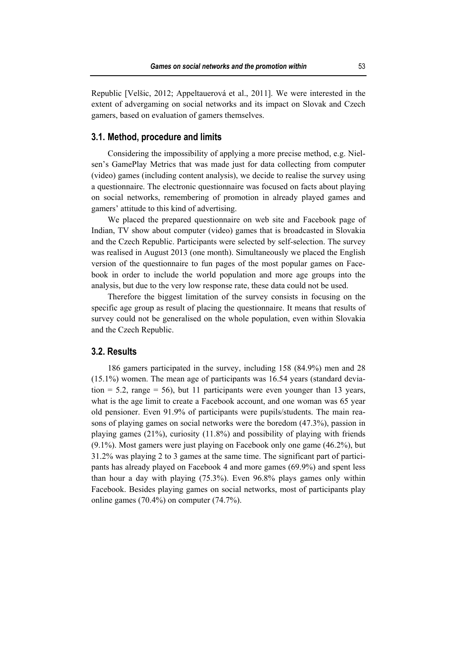Republic [Velšic, 2012; Appeltauerová et al., 2011]. We were interested in the extent of advergaming on social networks and its impact on Slovak and Czech gamers, based on evaluation of gamers themselves.

#### **3.1. Method, procedure and limits**

Considering the impossibility of applying a more precise method, e.g. Nielsen's GamePlay Metrics that was made just for data collecting from computer (video) games (including content analysis), we decide to realise the survey using a questionnaire. The electronic questionnaire was focused on facts about playing on social networks, remembering of promotion in already played games and gamers' attitude to this kind of advertising.

We placed the prepared questionnaire on web site and Facebook page of Indian, TV show about computer (video) games that is broadcasted in Slovakia and the Czech Republic. Participants were selected by self-selection. The survey was realised in August 2013 (one month). Simultaneously we placed the English version of the questionnaire to fun pages of the most popular games on Facebook in order to include the world population and more age groups into the analysis, but due to the very low response rate, these data could not be used.

Therefore the biggest limitation of the survey consists in focusing on the specific age group as result of placing the questionnaire. It means that results of survey could not be generalised on the whole population, even within Slovakia and the Czech Republic.

#### **3.2. Results**

186 gamers participated in the survey, including 158 (84.9%) men and 28 (15.1%) women. The mean age of participants was 16.54 years (standard deviation  $= 5.2$ , range  $= 56$ ), but 11 participants were even younger than 13 years, what is the age limit to create a Facebook account, and one woman was 65 year old pensioner. Even 91.9% of participants were pupils/students. The main reasons of playing games on social networks were the boredom (47.3%), passion in playing games (21%), curiosity (11.8%) and possibility of playing with friends (9.1%). Most gamers were just playing on Facebook only one game (46.2%), but 31.2% was playing 2 to 3 games at the same time. The significant part of participants has already played on Facebook 4 and more games (69.9%) and spent less than hour a day with playing (75.3%). Even 96.8% plays games only within Facebook. Besides playing games on social networks, most of participants play online games (70.4%) on computer (74.7%).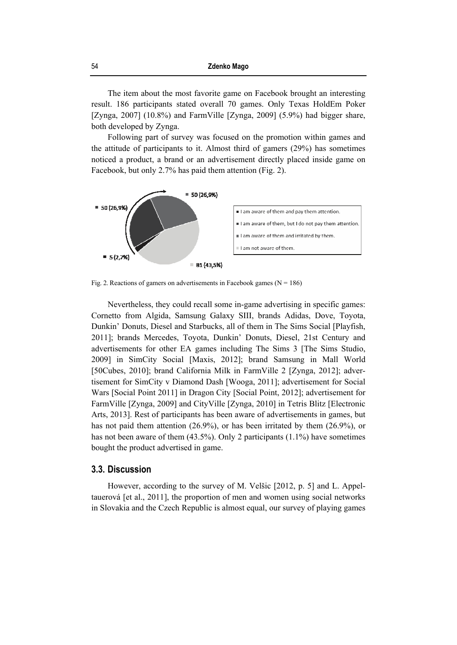The item about the most favorite game on Facebook brought an interesting result. 186 participants stated overall 70 games. Only Texas HoldEm Poker [Zynga, 2007] (10.8%) and FarmVille [Zynga, 2009] (5.9%) had bigger share, both developed by Zynga.

Following part of survey was focused on the promotion within games and the attitude of participants to it. Almost third of gamers (29%) has sometimes noticed a product, a brand or an advertisement directly placed inside game on Facebook, but only 2.7% has paid them attention (Fig. 2).



Fig. 2. Reactions of gamers on advertisements in Facebook games ( $N = 186$ )

Nevertheless, they could recall some in-game advertising in specific games: Cornetto from Algida, Samsung Galaxy SIII, brands Adidas, Dove, Toyota, Dunkin' Donuts, Diesel and Starbucks, all of them in The Sims Social [Playfish, 2011]; brands Mercedes, Toyota, Dunkin' Donuts, Diesel, 21st Century and advertisements for other EA games including The Sims 3 [The Sims Studio, 2009] in SimCity Social [Maxis, 2012]; brand Samsung in Mall World [50Cubes, 2010]; brand California Milk in FarmVille 2 [Zynga, 2012]; advertisement for SimCity v Diamond Dash [Wooga, 2011]; advertisement for Social Wars [Social Point 2011] in Dragon City [Social Point, 2012]; advertisement for FarmVille [Zynga, 2009] and CityVille [Zynga, 2010] in Tetris Blitz [Electronic Arts, 2013]. Rest of participants has been aware of advertisements in games, but has not paid them attention (26.9%), or has been irritated by them (26.9%), or has not been aware of them (43.5%). Only 2 participants (1.1%) have sometimes bought the product advertised in game.

### **3.3. Discussion**

However, according to the survey of M. Velšic [2012, p. 5] and L. Appeltauerová [et al., 2011], the proportion of men and women using social networks in Slovakia and the Czech Republic is almost equal, our survey of playing games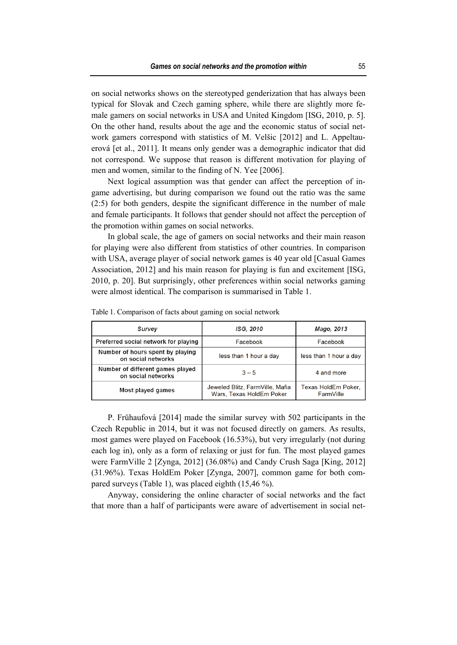on social networks shows on the stereotyped genderization that has always been typical for Slovak and Czech gaming sphere, while there are slightly more female gamers on social networks in USA and United Kingdom [ISG, 2010, p. 5]. On the other hand, results about the age and the economic status of social network gamers correspond with statistics of M. Velšic [2012] and L. Appeltauerová [et al., 2011]. It means only gender was a demographic indicator that did not correspond. We suppose that reason is different motivation for playing of men and women, similar to the finding of N. Yee [2006].

Next logical assumption was that gender can affect the perception of ingame advertising, but during comparison we found out the ratio was the same (2:5) for both genders, despite the significant difference in the number of male and female participants. It follows that gender should not affect the perception of the promotion within games on social networks.

In global scale, the age of gamers on social networks and their main reason for playing were also different from statistics of other countries. In comparison with USA, average player of social network games is 40 year old [Casual Games Association, 2012] and his main reason for playing is fun and excitement [ISG, 2010, p. 20]. But surprisingly, other preferences within social networks gaming were almost identical. The comparison is summarised in Table 1.

| Survey                                                 | ISG, 2010                                                   | Mago, 2013                       |
|--------------------------------------------------------|-------------------------------------------------------------|----------------------------------|
| Preferred social network for playing                   | Facebook                                                    | Facebook                         |
| Number of hours spent by playing<br>on social networks | less than 1 hour a day                                      | less than 1 hour a day           |
| Number of different games played<br>on social networks | $3 - 5$                                                     | 4 and more                       |
| Most played games                                      | Jeweled Blitz, FarmVille, Mafia<br>Wars, Texas HoldEm Poker | Texas HoldEm Poker,<br>FarmVille |

Table 1. Comparison of facts about gaming on social network

P. Frühaufová [2014] made the similar survey with 502 participants in the Czech Republic in 2014, but it was not focused directly on gamers. As results, most games were played on Facebook (16.53%), but very irregularly (not during each log in), only as a form of relaxing or just for fun. The most played games were FarmVille 2 [Zynga, 2012] (36.08%) and Candy Crush Saga [King, 2012] (31.96%). Texas HoldEm Poker [Zynga, 2007], common game for both compared surveys (Table 1), was placed eighth (15,46 %).

Anyway, considering the online character of social networks and the fact that more than a half of participants were aware of advertisement in social net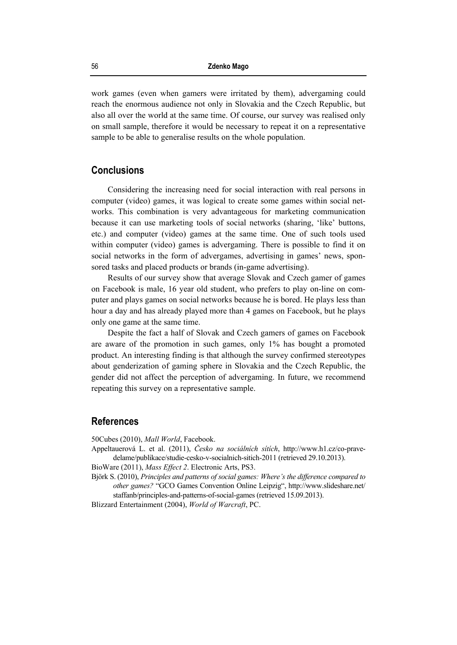work games (even when gamers were irritated by them), advergaming could reach the enormous audience not only in Slovakia and the Czech Republic, but also all over the world at the same time. Of course, our survey was realised only on small sample, therefore it would be necessary to repeat it on a representative sample to be able to generalise results on the whole population.

#### **Conclusions**

Considering the increasing need for social interaction with real persons in computer (video) games, it was logical to create some games within social networks. This combination is very advantageous for marketing communication because it can use marketing tools of social networks (sharing, 'like' buttons, etc.) and computer (video) games at the same time. One of such tools used within computer (video) games is advergaming. There is possible to find it on social networks in the form of advergames, advertising in games' news, sponsored tasks and placed products or brands (in-game advertising).

Results of our survey show that average Slovak and Czech gamer of games on Facebook is male, 16 year old student, who prefers to play on-line on computer and plays games on social networks because he is bored. He plays less than hour a day and has already played more than 4 games on Facebook, but he plays only one game at the same time.

Despite the fact a half of Slovak and Czech gamers of games on Facebook are aware of the promotion in such games, only 1% has bought a promoted product. An interesting finding is that although the survey confirmed stereotypes about genderization of gaming sphere in Slovakia and the Czech Republic, the gender did not affect the perception of advergaming. In future, we recommend repeating this survey on a representative sample.

## **References**

50Cubes (2010), *Mall World*, Facebook.

Appeltauerová L. et al. (2011), *Česko na sociálních sítích*, http://www.h1.cz/co-pravedelame/publikace/studie-cesko-v-socialnich-sitich-2011 (retrieved 29.10.2013).

BioWare (2011), *Mass Effect 2*. Electronic Arts, PS3.

Björk S. (2010), *Principles and patterns of social games: Where's the difference compared to other games?* "GCO Games Convention Online Leipzig", http://www.slideshare.net/ staffanb/principles-and-patterns-of-social-games (retrieved 15.09.2013).

Blizzard Entertainment (2004), *World of Warcraft*, PC.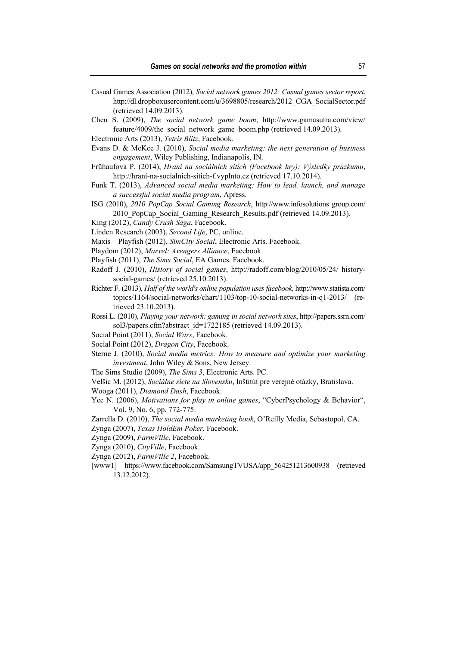- Casual Games Association (2012), *Social network games 2012: Casual games sector report*, http://dl.dropboxusercontent.com/u/3698805/research/2012\_CGA\_SocialSector.pdf (retrieved 14.09.2013).
- Chen S. (2009), *The social network game boom*, http://www.gamasutra.com/view/ feature/4009/the social network game boom.php (retrieved 14.09.2013).
- Electronic Arts (2013), *Tetris Blitz*, Facebook.
- Evans D. & McKee J. (2010), *Social media marketing: the next generation of business engagement*, Wiley Publishing, Indianapolis, IN.
- Frühaufová P. (2014), *Hraní na sociálních sítích (Facebook hry): Výsledky průzkumu*, http://hrani-na-socialnich-sitich-f.vyplnto.cz (retrieved 17.10.2014).
- Funk T. (2013), *Advanced social media marketing: How to lead, launch, and manage a successful social media program*, Apress.
- ISG (2010), *2010 PopCap Social Gaming Research*, http://www.infosolutions group.com/ 2010 PopCap Social Gaming Research Results.pdf (retrieved 14.09.2013).
- King (2012), *Candy Crush Saga*, Facebook.
- Linden Research (2003), *Second Life*, PC, online.
- Maxis Playfish (2012), *SimCity Social*, Electronic Arts. Facebook.
- Playdom (2012), *Marvel: Avengers Alliance*, Facebook.
- Playfish (2011), *The Sims Social*, EA Games. Facebook.
- Radoff J. (2010), *History of social games*, http://radoff.com/blog/2010/05/24/ historysocial-games/ (retrieved 25.10.2013).
- Richter F. (2013), *Half of the world's online population uses facebook*, http://www.statista.com/ topics/1164/social-networks/chart/1103/top-10-social-networks-in-q1-2013/ (retrieved 23.10.2013).
- Rossi L. (2010), *Playing your network: gaming in social network sites*, http://papers.ssrn.com/ sol3/papers.cfm?abstract\_id=1722185 (retrieved 14.09.2013).
- Social Point (2011), *Social Wars*, Facebook.
- Social Point (2012), *Dragon City*, Facebook.
- Sterne J. (2010), *Social media metrics: How to measure and optimize your marketing investment*, John Wiley & Sons, New Jersey.
- The Sims Studio (2009), *The Sims 3*, Electronic Arts. PC.
- Velšic M. (2012), *Sociálne siete na Slovensku*, Inštitút pre verejné otázky, Bratislava.
- Wooga (2011), *Diamond Dash*, Facebook.
- Yee N. (2006), *Motivations for play in online games*, "CyberPsychology & Behavior", Vol. 9, No. 6, pp. 772-775.
- Zarrella D. (2010), *The social media marketing book*, O'Reilly Media, Sebastopol, CA.
- Zynga (2007), *Texas HoldEm Poker*, Facebook.
- Zynga (2009), *FarmVille*, Facebook.
- Zynga (2010), *CityVille*, Facebook.
- Zynga (2012), *FarmVille 2*, Facebook.
- [www1] https://www.facebook.com/SamsungTVUSA/app\_564251213600938 (retrieved 13.12.2012).